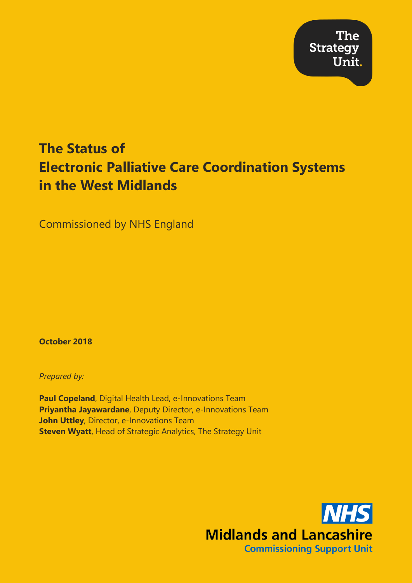**The Strategy** Unit.

## **The Status of Electronic Palliative Care Coordination Systems in the West Midlands**

Commissioned by NHS England

**October 2018**

*Prepared by:*

**Paul Copeland**, Digital Health Lead, e-Innovations Team **Priyantha Jayawardane**, Deputy Director, e-Innovations Team **John Uttley**, Director, e-Innovations Team **Steven Wyatt**, Head of Strategic Analytics, The Strategy Unit

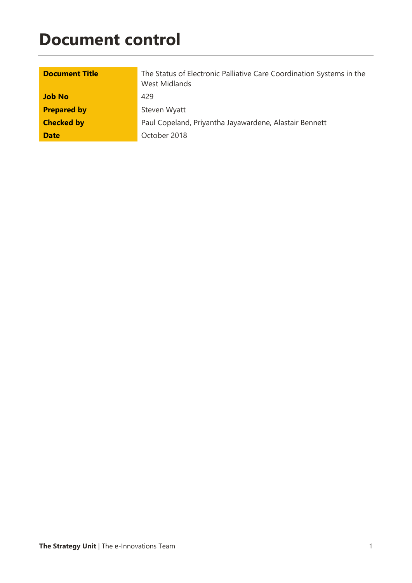## **Document control**

| <b>Document Title</b> | The Status of Electronic Palliative Care Coordination Systems in the<br>West Midlands |
|-----------------------|---------------------------------------------------------------------------------------|
| <b>Job No</b>         | 429                                                                                   |
| <b>Prepared by</b>    | Steven Wyatt                                                                          |
| <b>Checked by</b>     | Paul Copeland, Priyantha Jayawardene, Alastair Bennett                                |
| <b>Date</b>           | October 2018                                                                          |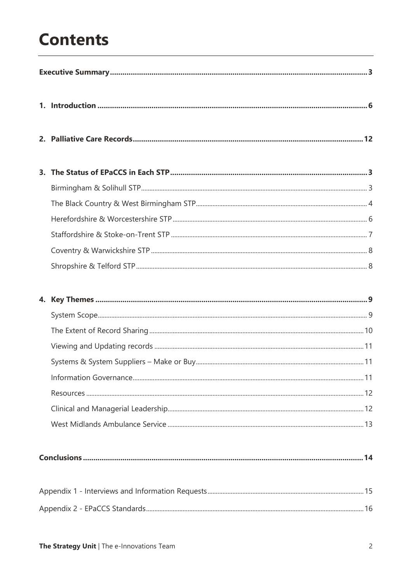## **Contents**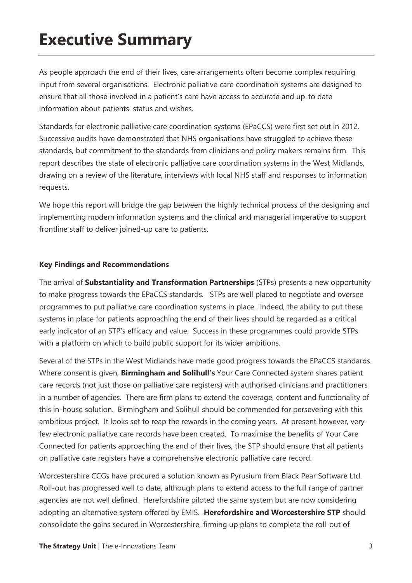## **Executive Summary**

As people approach the end of their lives, care arrangements often become complex requiring input from several organisations. Electronic palliative care coordination systems are designed to ensure that all those involved in a patient's care have access to accurate and up-to date information about patients' status and wishes.

Standards for electronic palliative care coordination systems (EPaCCS) were first set out in 2012. Successive audits have demonstrated that NHS organisations have struggled to achieve these standards, but commitment to the standards from clinicians and policy makers remains firm. This report describes the state of electronic palliative care coordination systems in the West Midlands, drawing on a review of the literature, interviews with local NHS staff and responses to information requests.

We hope this report will bridge the gap between the highly technical process of the designing and implementing modern information systems and the clinical and managerial imperative to support frontline staff to deliver joined-up care to patients.

#### **Key Findings and Recommendations**

The arrival of **Substantiality and Transformation Partnerships** (STPs) presents a new opportunity to make progress towards the EPaCCS standards. STPs are well placed to negotiate and oversee programmes to put palliative care coordination systems in place. Indeed, the ability to put these systems in place for patients approaching the end of their lives should be regarded as a critical early indicator of an STP's efficacy and value. Success in these programmes could provide STPs with a platform on which to build public support for its wider ambitions.

Several of the STPs in the West Midlands have made good progress towards the EPaCCS standards. Where consent is given, **Birmingham and Solihull's** Your Care Connected system shares patient care records (not just those on palliative care registers) with authorised clinicians and practitioners in a number of agencies. There are firm plans to extend the coverage, content and functionality of this in-house solution. Birmingham and Solihull should be commended for persevering with this ambitious project. It looks set to reap the rewards in the coming years. At present however, very few electronic palliative care records have been created. To maximise the benefits of Your Care Connected for patients approaching the end of their lives, the STP should ensure that all patients on palliative care registers have a comprehensive electronic palliative care record.

Worcestershire CCGs have procured a solution known as Pyrusium from Black Pear Software Ltd. Roll-out has progressed well to date, although plans to extend access to the full range of partner agencies are not well defined. Herefordshire piloted the same system but are now considering adopting an alternative system offered by EMIS. **Herefordshire and Worcestershire STP** should consolidate the gains secured in Worcestershire, firming up plans to complete the roll-out of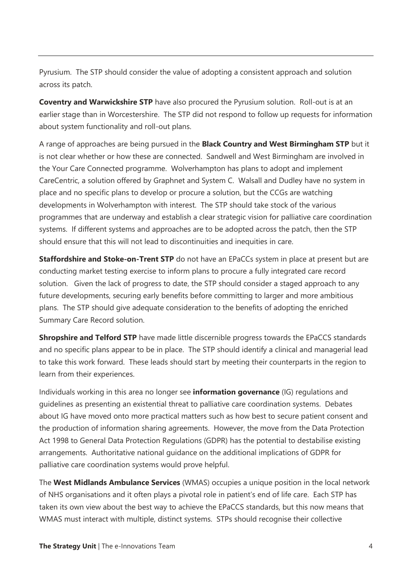Pyrusium. The STP should consider the value of adopting a consistent approach and solution across its patch.

**Coventry and Warwickshire STP** have also procured the Pyrusium solution. Roll-out is at an earlier stage than in Worcestershire. The STP did not respond to follow up requests for information about system functionality and roll-out plans.

A range of approaches are being pursued in the **Black Country and West Birmingham STP** but it is not clear whether or how these are connected. Sandwell and West Birmingham are involved in the Your Care Connected programme. Wolverhampton has plans to adopt and implement CareCentric, a solution offered by Graphnet and System C. Walsall and Dudley have no system in place and no specific plans to develop or procure a solution, but the CCGs are watching developments in Wolverhampton with interest. The STP should take stock of the various programmes that are underway and establish a clear strategic vision for palliative care coordination systems. If different systems and approaches are to be adopted across the patch, then the STP should ensure that this will not lead to discontinuities and inequities in care.

**Staffordshire and Stoke-on-Trent STP** do not have an EPaCCs system in place at present but are conducting market testing exercise to inform plans to procure a fully integrated care record solution. Given the lack of progress to date, the STP should consider a staged approach to any future developments, securing early benefits before committing to larger and more ambitious plans. The STP should give adequate consideration to the benefits of adopting the enriched Summary Care Record solution.

**Shropshire and Telford STP** have made little discernible progress towards the EPaCCS standards and no specific plans appear to be in place. The STP should identify a clinical and managerial lead to take this work forward. These leads should start by meeting their counterparts in the region to learn from their experiences.

Individuals working in this area no longer see **information governance** (IG) regulations and guidelines as presenting an existential threat to palliative care coordination systems. Debates about IG have moved onto more practical matters such as how best to secure patient consent and the production of information sharing agreements. However, the move from the Data Protection Act 1998 to General Data Protection Regulations (GDPR) has the potential to destabilise existing arrangements. Authoritative national guidance on the additional implications of GDPR for palliative care coordination systems would prove helpful.

The **West Midlands Ambulance Services** (WMAS) occupies a unique position in the local network of NHS organisations and it often plays a pivotal role in patient's end of life care. Each STP has taken its own view about the best way to achieve the EPaCCS standards, but this now means that WMAS must interact with multiple, distinct systems. STPs should recognise their collective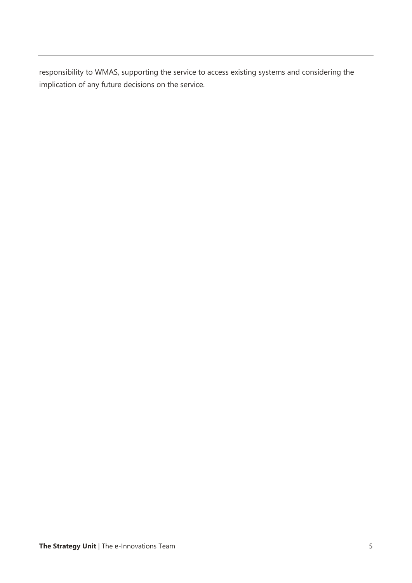responsibility to WMAS, supporting the service to access existing systems and considering the implication of any future decisions on the service.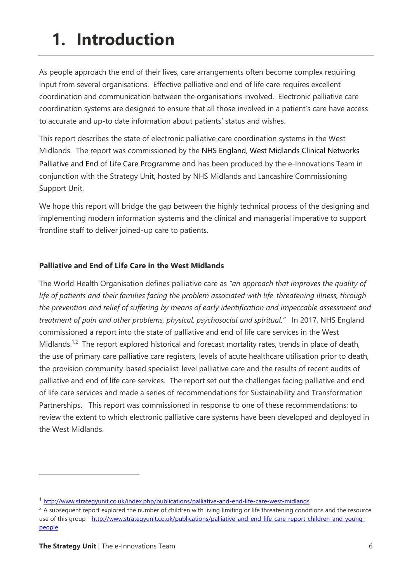## **1. Introduction**

As people approach the end of their lives, care arrangements often become complex requiring input from several organisations. Effective palliative and end of life care requires excellent coordination and communication between the organisations involved. Electronic palliative care coordination systems are designed to ensure that all those involved in a patient's care have access to accurate and up-to date information about patients' status and wishes.

This report describes the state of electronic palliative care coordination systems in the West Midlands. The report was commissioned by the NHS England, West Midlands Clinical Networks Palliative and End of Life Care Programme and has been produced by the e-Innovations Team in conjunction with the Strategy Unit, hosted by NHS Midlands and Lancashire Commissioning Support Unit.

We hope this report will bridge the gap between the highly technical process of the designing and implementing modern information systems and the clinical and managerial imperative to support frontline staff to deliver joined-up care to patients.

#### **Palliative and End of Life Care in the West Midlands**

The World Health Organisation defines palliative care as *"an approach that improves the quality of life of patients and their families facing the problem associated with life-threatening illness, through the prevention and relief of suffering by means of early identification and impeccable assessment and treatment of pain and other problems, physical, psychosocial and spiritual."* In 2017, NHS England commissioned a report into the state of palliative and end of life care services in the West Midlands.<sup>1,2</sup> The report explored historical and forecast mortality rates, trends in place of death, the use of primary care palliative care registers, levels of acute healthcare utilisation prior to death, the provision community-based specialist-level palliative care and the results of recent audits of palliative and end of life care services. The report set out the challenges facing palliative and end of life care services and made a series of recommendations for Sustainability and Transformation Partnerships. This report was commissioned in response to one of these recommendations; to review the extent to which electronic palliative care systems have been developed and deployed in the West Midlands.

-

<sup>1</sup> <http://www.strategyunit.co.uk/index.php/publications/palliative-and-end-life-care-west-midlands>

 $2$  A subsequent report explored the number of children with living limiting or life threatening conditions and the resource use of this group - [http://www.strategyunit.co.uk/publications/palliative-and-end-life-care-report-children-and-young](http://www.strategyunit.co.uk/publications/palliative-and-end-life-care-report-children-and-young-people)[people](http://www.strategyunit.co.uk/publications/palliative-and-end-life-care-report-children-and-young-people)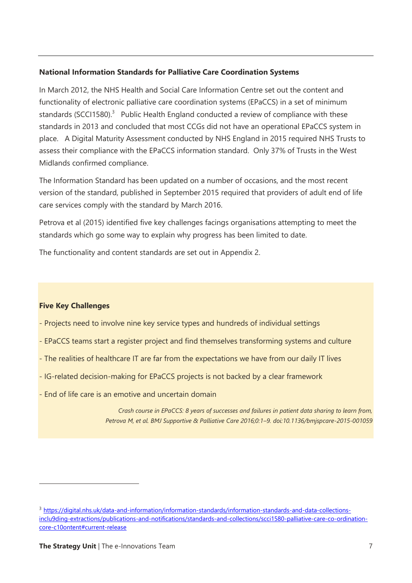#### **National Information Standards for Palliative Care Coordination Systems**

In March 2012, the NHS Health and Social Care Information Centre set out the content and functionality of electronic palliative care coordination systems (EPaCCS) in a set of minimum standards (SCCI1580).<sup>3</sup> Public Health England conducted a review of compliance with these standards in 2013 and concluded that most CCGs did not have an operational EPaCCS system in place. A Digital Maturity Assessment conducted by NHS England in 2015 required NHS Trusts to assess their compliance with the EPaCCS information standard. Only 37% of Trusts in the West Midlands confirmed compliance.

The Information Standard has been updated on a number of occasions, and the most recent version of the standard, published in September 2015 required that providers of adult end of life care services comply with the standard by March 2016.

Petrova et al (2015) identified five key challenges facings organisations attempting to meet the standards which go some way to explain why progress has been limited to date.

The functionality and content standards are set out in Appendix 2.

#### **Five Key Challenges**

 $\overline{a}$ 

- Projects need to involve nine key service types and hundreds of individual settings
- EPaCCS teams start a register project and find themselves transforming systems and culture
- The realities of healthcare IT are far from the expectations we have from our daily IT lives
- IG-related decision-making for EPaCCS projects is not backed by a clear framework
- End of life care is an emotive and uncertain domain

*Crash course in EPaCCS: 8 years of successes and failures in patient data sharing to learn from, Petrova M, et al. BMJ Supportive & Palliative Care 2016;0:1–9. doi:10.1136/bmjspcare-2015-001059*

<sup>3</sup> [https://digital.nhs.uk/data-and-information/information-standards/information-standards-and-data-collections](https://digital.nhs.uk/data-and-information/information-standards/information-standards-and-data-collections-including-extractions/publications-and-notifications/standards-and-collections/scci1580-palliative-care-co-ordination-core-content#current-release)[inclu9ding-extractions/publications-and-notifications/standards-and-collections/scci1580-palliative-care-co-ordination](https://digital.nhs.uk/data-and-information/information-standards/information-standards-and-data-collections-including-extractions/publications-and-notifications/standards-and-collections/scci1580-palliative-care-co-ordination-core-content#current-release)[core-c10ontent#current-release](https://digital.nhs.uk/data-and-information/information-standards/information-standards-and-data-collections-including-extractions/publications-and-notifications/standards-and-collections/scci1580-palliative-care-co-ordination-core-content#current-release)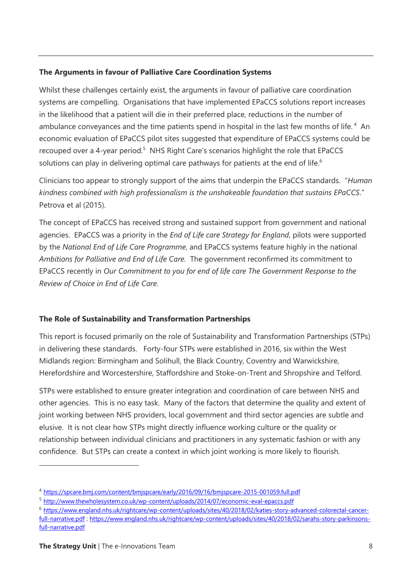#### **The Arguments in favour of Palliative Care Coordination Systems**

Whilst these challenges certainly exist, the arguments in favour of palliative care coordination systems are compelling. Organisations that have implemented EPaCCS solutions report increases in the likelihood that a patient will die in their preferred place, reductions in the number of ambulance conveyances and the time patients spend in hospital in the last few months of life.<sup>4</sup> An economic evaluation of EPaCCS pilot sites suggested that expenditure of EPaCCS systems could be recouped over a 4-year period.<sup>5</sup> NHS Right Care's scenarios highlight the role that EPaCCS solutions can play in delivering optimal care pathways for patients at the end of life.<sup>6</sup>

Clinicians too appear to strongly support of the aims that underpin the EPaCCS standards. "*Human kindness combined with high professionalism is the unshakeable foundation that sustains EPaCCS*." Petrova et al (2015).

The concept of EPaCCS has received strong and sustained support from government and national agencies. EPaCCS was a priority in the *End of Life care Strategy for England*, pilots were supported by the *National End of Life Care Programme*, and EPaCCS systems feature highly in the national *Ambitions for Palliative and End of Life Care.* The government reconfirmed its commitment to EPaCCS recently in *Our Commitment to you for end of life care The Government Response to the Review of Choice in End of Life Care.* 

### **The Role of Sustainability and Transformation Partnerships**

This report is focused primarily on the role of Sustainability and Transformation Partnerships (STPs) in delivering these standards. Forty-four STPs were established in 2016, six within the West Midlands region: Birmingham and Solihull, the Black Country, Coventry and Warwickshire, Herefordshire and Worcestershire, Staffordshire and Stoke-on-Trent and Shropshire and Telford.

STPs were established to ensure greater integration and coordination of care between NHS and other agencies. This is no easy task. Many of the factors that determine the quality and extent of joint working between NHS providers, local government and third sector agencies are subtle and elusive. It is not clear how STPs might directly influence working culture or the quality or relationship between individual clinicians and practitioners in any systematic fashion or with any confidence. But STPs can create a context in which joint working is more likely to flourish.

<sup>6</sup> [https://www.england.nhs.uk/rightcare/wp-content/uploads/sites/40/2018/02/katies-story-advanced-colorectal-cancer](https://www.england.nhs.uk/rightcare/wp-content/uploads/sites/40/2018/02/katies-story-advanced-colorectal-cancer-full-narrative.pdf)[full-narrative.pdf](https://www.england.nhs.uk/rightcare/wp-content/uploads/sites/40/2018/02/katies-story-advanced-colorectal-cancer-full-narrative.pdf) [; https://www.england.nhs.uk/rightcare/wp-content/uploads/sites/40/2018/02/sarahs-story-parkinsons](https://www.england.nhs.uk/rightcare/wp-content/uploads/sites/40/2018/02/sarahs-story-parkinsons-full-narrative.pdf)[full-narrative.pdf](https://www.england.nhs.uk/rightcare/wp-content/uploads/sites/40/2018/02/sarahs-story-parkinsons-full-narrative.pdf)

 $\overline{a}$ 

<sup>4</sup> <https://spcare.bmj.com/content/bmjspcare/early/2016/09/16/bmjspcare-2015-001059.full.pdf>

<sup>5</sup> <http://www.thewholesystem.co.uk/wp-content/uploads/2014/07/economic-eval-epaccs.pdf>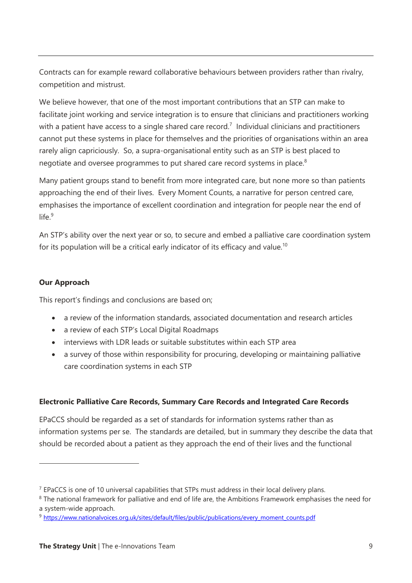Contracts can for example reward collaborative behaviours between providers rather than rivalry, competition and mistrust.

We believe however, that one of the most important contributions that an STP can make to facilitate joint working and service integration is to ensure that clinicians and practitioners working with a patient have access to a single shared care record.<sup>7</sup> Individual clinicians and practitioners cannot put these systems in place for themselves and the priorities of organisations within an area rarely align capriciously. So, a supra-organisational entity such as an STP is best placed to negotiate and oversee programmes to put shared care record systems in place.<sup>8</sup>

Many patient groups stand to benefit from more integrated care, but none more so than patients approaching the end of their lives. Every Moment Counts, a narrative for person centred care, emphasises the importance of excellent coordination and integration for people near the end of life $9$ 

An STP's ability over the next year or so, to secure and embed a palliative care coordination system for its population will be a critical early indicator of its efficacy and value.<sup>10</sup>

#### **Our Approach**

 $\overline{a}$ 

This report's findings and conclusions are based on;

- a review of the information standards, associated documentation and research articles
- a review of each STP's Local Digital Roadmaps
- interviews with LDR leads or suitable substitutes within each STP area
- a survey of those within responsibility for procuring, developing or maintaining palliative care coordination systems in each STP

### **Electronic Palliative Care Records, Summary Care Records and Integrated Care Records**

EPaCCS should be regarded as a set of standards for information systems rather than as information systems per se. The standards are detailed, but in summary they describe the data that should be recorded about a patient as they approach the end of their lives and the functional

 $<sup>7</sup>$  EPaCCS is one of 10 universal capabilities that STPs must address in their local delivery plans.</sup>

<sup>&</sup>lt;sup>8</sup> The national framework for palliative and end of life are, the Ambitions Framework emphasises the need for a system-wide approach.

<sup>9</sup> [https://www.nationalvoices.org.uk/sites/default/files/public/publications/every\\_moment\\_counts.pdf](https://www.nationalvoices.org.uk/sites/default/files/public/publications/every_moment_counts.pdf)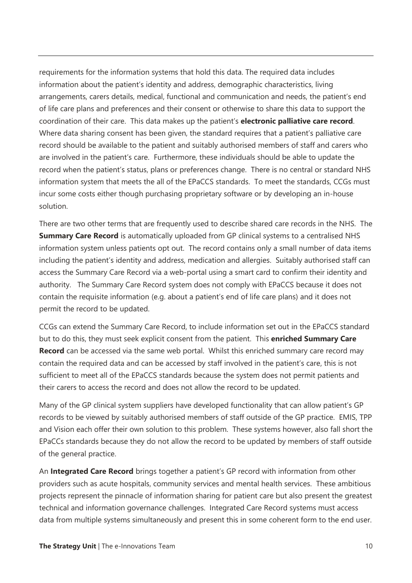requirements for the information systems that hold this data. The required data includes information about the patient's identity and address, demographic characteristics, living arrangements, carers details, medical, functional and communication and needs, the patient's end of life care plans and preferences and their consent or otherwise to share this data to support the coordination of their care. This data makes up the patient's **electronic palliative care record**. Where data sharing consent has been given, the standard requires that a patient's palliative care record should be available to the patient and suitably authorised members of staff and carers who are involved in the patient's care. Furthermore, these individuals should be able to update the record when the patient's status, plans or preferences change. There is no central or standard NHS information system that meets the all of the EPaCCS standards. To meet the standards, CCGs must incur some costs either though purchasing proprietary software or by developing an in-house solution.

There are two other terms that are frequently used to describe shared care records in the NHS. The **Summary Care Record** is automatically uploaded from GP clinical systems to a centralised NHS information system unless patients opt out. The record contains only a small number of data items including the patient's identity and address, medication and allergies. Suitably authorised staff can access the Summary Care Record via a web-portal using a smart card to confirm their identity and authority. The Summary Care Record system does not comply with EPaCCS because it does not contain the requisite information (e.g. about a patient's end of life care plans) and it does not permit the record to be updated.

CCGs can extend the Summary Care Record, to include information set out in the EPaCCS standard but to do this, they must seek explicit consent from the patient. This **enriched Summary Care Record** can be accessed via the same web portal. Whilst this enriched summary care record may contain the required data and can be accessed by staff involved in the patient's care, this is not sufficient to meet all of the EPaCCS standards because the system does not permit patients and their carers to access the record and does not allow the record to be updated.

Many of the GP clinical system suppliers have developed functionality that can allow patient's GP records to be viewed by suitably authorised members of staff outside of the GP practice. EMIS, TPP and Vision each offer their own solution to this problem. These systems however, also fall short the EPaCCs standards because they do not allow the record to be updated by members of staff outside of the general practice.

An **Integrated Care Record** brings together a patient's GP record with information from other providers such as acute hospitals, community services and mental health services. These ambitious projects represent the pinnacle of information sharing for patient care but also present the greatest technical and information governance challenges. Integrated Care Record systems must access data from multiple systems simultaneously and present this in some coherent form to the end user.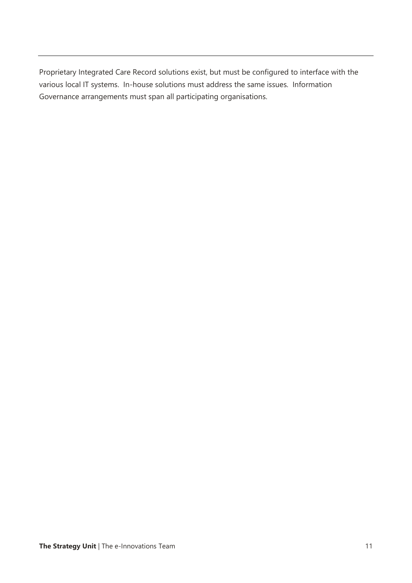Proprietary Integrated Care Record solutions exist, but must be configured to interface with the various local IT systems. In-house solutions must address the same issues. Information Governance arrangements must span all participating organisations.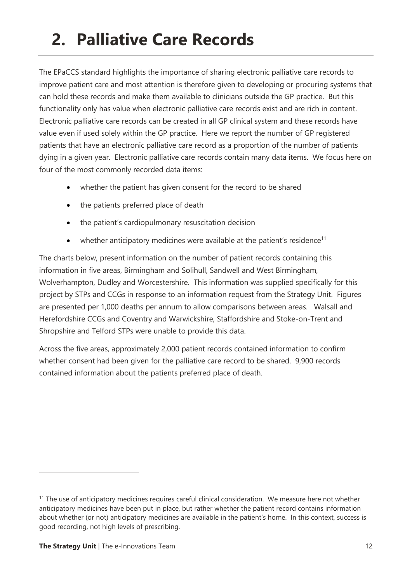# **2. Palliative Care Records**

The EPaCCS standard highlights the importance of sharing electronic palliative care records to improve patient care and most attention is therefore given to developing or procuring systems that can hold these records and make them available to clinicians outside the GP practice. But this functionality only has value when electronic palliative care records exist and are rich in content. Electronic palliative care records can be created in all GP clinical system and these records have value even if used solely within the GP practice. Here we report the number of GP registered patients that have an electronic palliative care record as a proportion of the number of patients dying in a given year. Electronic palliative care records contain many data items. We focus here on four of the most commonly recorded data items:

- whether the patient has given consent for the record to be shared
- the patients preferred place of death
- the patient's cardiopulmonary resuscitation decision
- whether anticipatory medicines were available at the patient's residence<sup>11</sup>

The charts below, present information on the number of patient records containing this information in five areas, Birmingham and Solihull, Sandwell and West Birmingham, Wolverhampton, Dudley and Worcestershire. This information was supplied specifically for this project by STPs and CCGs in response to an information request from the Strategy Unit. Figures are presented per 1,000 deaths per annum to allow comparisons between areas. Walsall and Herefordshire CCGs and Coventry and Warwickshire, Staffordshire and Stoke-on-Trent and Shropshire and Telford STPs were unable to provide this data.

Across the five areas, approximately 2,000 patient records contained information to confirm whether consent had been given for the palliative care record to be shared. 9,900 records contained information about the patients preferred place of death.

 $\overline{a}$ 

<sup>&</sup>lt;sup>11</sup> The use of anticipatory medicines requires careful clinical consideration. We measure here not whether anticipatory medicines have been put in place, but rather whether the patient record contains information about whether (or not) anticipatory medicines are available in the patient's home. In this context, success is good recording, not high levels of prescribing.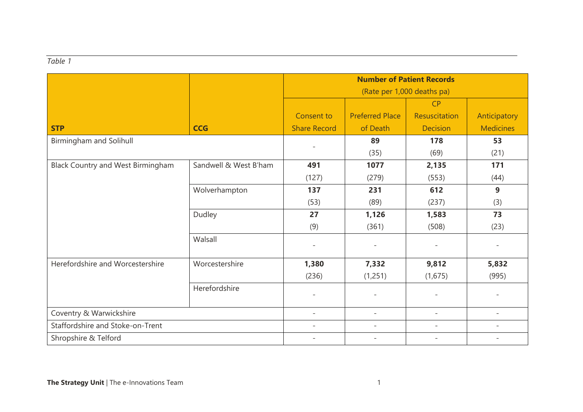#### *Table 1*

|                                          |                       | <b>Number of Patient Records</b> |                          |                          |                          |
|------------------------------------------|-----------------------|----------------------------------|--------------------------|--------------------------|--------------------------|
|                                          |                       | (Rate per 1,000 deaths pa)       |                          |                          |                          |
|                                          |                       |                                  |                          | CP                       |                          |
|                                          |                       | Consent to                       | <b>Preferred Place</b>   | Resuscitation            | Anticipatory             |
| <b>STP</b>                               | <b>CCG</b>            | <b>Share Record</b>              | of Death                 | <b>Decision</b>          | <b>Medicines</b>         |
| Birmingham and Solihull                  |                       | $\overline{\phantom{a}}$         | 89                       | 178                      | 53                       |
|                                          |                       |                                  | (35)                     | (69)                     | (21)                     |
| <b>Black Country and West Birmingham</b> | Sandwell & West B'ham | 491                              | 1077                     | 2,135                    | 171                      |
|                                          |                       | (127)                            | (279)                    | (553)                    | (44)                     |
|                                          | Wolverhampton         | 137                              | 231                      | 612                      | 9                        |
|                                          |                       | (53)                             | (89)                     | (237)                    | (3)                      |
|                                          | Dudley                | 27                               | 1,126                    | 1,583                    | 73                       |
|                                          |                       | (9)                              | (361)                    | (508)                    | (23)                     |
|                                          | Walsall               |                                  | $\overline{a}$           | $\overline{\phantom{a}}$ |                          |
| Herefordshire and Worcestershire         | Worcestershire        | 1,380                            | 7,332                    | 9,812                    | 5,832                    |
|                                          |                       | (236)                            | (1,251)                  | (1,675)                  | (995)                    |
|                                          | Herefordshire         |                                  |                          |                          |                          |
| Coventry & Warwickshire                  |                       | $\overline{\phantom{a}}$         | $\overline{\phantom{a}}$ | $\overline{\phantom{a}}$ | $\overline{\phantom{0}}$ |
| Staffordshire and Stoke-on-Trent         |                       | $\overline{\phantom{a}}$         | $\overline{\phantom{0}}$ | $\overline{\phantom{a}}$ | $\overline{\phantom{0}}$ |
| Shropshire & Telford                     |                       |                                  |                          |                          |                          |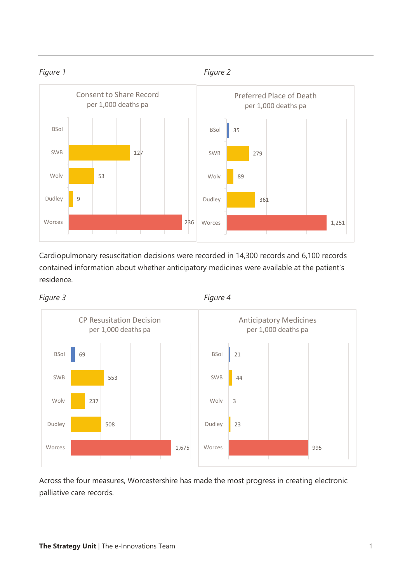

Cardiopulmonary resuscitation decisions were recorded in 14,300 records and 6,100 records contained information about whether anticipatory medicines were available at the patient's residence.





Across the four measures, Worcestershire has made the most progress in creating electronic palliative care records.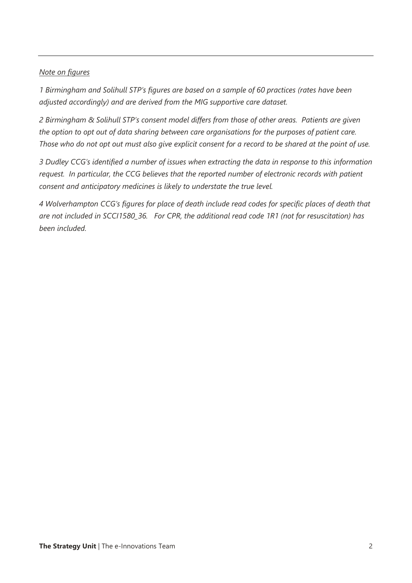#### *Note on figures*

*1 Birmingham and Solihull STP's figures are based on a sample of 60 practices (rates have been adjusted accordingly) and are derived from the MIG supportive care dataset.* 

*2 Birmingham & Solihull STP's consent model differs from those of other areas. Patients are given the option to opt out of data sharing between care organisations for the purposes of patient care. Those who do not opt out must also give explicit consent for a record to be shared at the point of use.*

*3 Dudley CCG's identified a number of issues when extracting the data in response to this information request. In particular, the CCG believes that the reported number of electronic records with patient consent and anticipatory medicines is likely to understate the true level.*

*4 Wolverhampton CCG's figures for place of death include read codes for specific places of death that are not included in SCCI1580\_36. For CPR, the additional read code 1R1 (not for resuscitation) has been included.*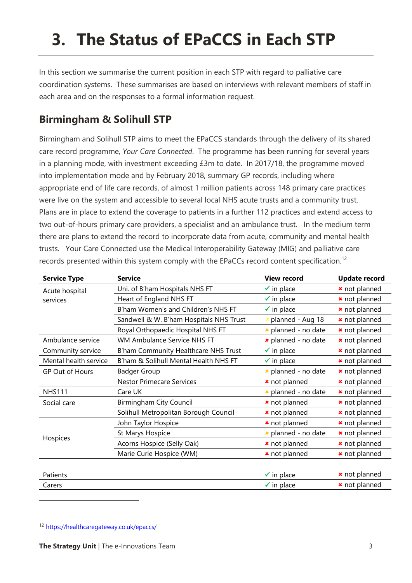# **3. The Status of EPaCCS in Each STP**

In this section we summarise the current position in each STP with regard to palliative care coordination systems. These summarises are based on interviews with relevant members of staff in each area and on the responses to a formal information request.

## **Birmingham & Solihull STP**

Birmingham and Solihull STP aims to meet the EPaCCS standards through the delivery of its shared care record programme, *Your Care Connected*. The programme has been running for several years in a planning mode, with investment exceeding £3m to date. In 2017/18, the programme moved into implementation mode and by February 2018, summary GP records, including where appropriate end of life care records, of almost 1 million patients across 148 primary care practices were live on the system and accessible to several local NHS acute trusts and a community trust. Plans are in place to extend the coverage to patients in a further 112 practices and extend access to two out-of-hours primary care providers, a specialist and an ambulance trust. In the medium term there are plans to extend the record to incorporate data from acute, community and mental health trusts. Your Care Connected use the Medical Interoperability Gateway (MIG) and palliative care records presented within this system comply with the EPaCCs record content specification.<sup>12</sup>

| <b>Service Type</b>    | <b>Service</b>                          | <b>View record</b>         | <b>Update record</b> |
|------------------------|-----------------------------------------|----------------------------|----------------------|
| Acute hospital         | Uni. of B'ham Hospitals NHS FT          | $\checkmark$ in place      | * not planned        |
| services               | Heart of England NHS FT                 | $\checkmark$ in place      | * not planned        |
|                        | B'ham Women's and Children's NHS FT     | $\checkmark$ in place      | * not planned        |
|                        | Sandwell & W. B'ham Hospitals NHS Trust | $x$ planned - Aug 18       | * not planned        |
|                        | Royal Orthopaedic Hospital NHS FT       | * planned - no date        | * not planned        |
| Ambulance service      | <b>WM Ambulance Service NHS FT</b>      | * planned - no date        | * not planned        |
| Community service      | B'ham Community Healthcare NHS Trust    | $\checkmark$ in place      | * not planned        |
| Mental health service  | B'ham & Solihull Mental Health NHS FT   | $\checkmark$ in place      | * not planned        |
| <b>GP Out of Hours</b> | <b>Badger Group</b>                     | <b>*</b> planned - no date | * not planned        |
|                        | <b>Nestor Primecare Services</b>        | * not planned              | * not planned        |
| <b>NHS111</b>          | Care UK                                 | <b>*</b> planned - no date | * not planned        |
| Social care            | Birmingham City Council                 | * not planned              | * not planned        |
|                        | Solihull Metropolitan Borough Council   | * not planned              | * not planned        |
|                        | John Taylor Hospice                     | * not planned              | * not planned        |
|                        | St Marys Hospice                        | * planned - no date        | * not planned        |
| Hospices               | Acorns Hospice (Selly Oak)              | * not planned              | * not planned        |
|                        | Marie Curie Hospice (WM)                | * not planned              | * not planned        |
|                        |                                         |                            |                      |
| Patients               |                                         | $\checkmark$ in place      | * not planned        |
| Carers                 |                                         | $\checkmark$ in place      | * not planned        |

<sup>12</sup> <https://healthcaregateway.co.uk/epaccs/>

 $\overline{a}$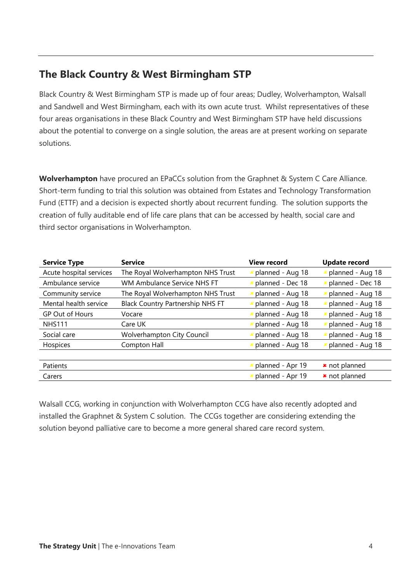## **The Black Country & West Birmingham STP**

Black Country & West Birmingham STP is made up of four areas; Dudley, Wolverhampton, Walsall and Sandwell and West Birmingham, each with its own acute trust. Whilst representatives of these four areas organisations in these Black Country and West Birmingham STP have held discussions about the potential to converge on a single solution, the areas are at present working on separate solutions.

**Wolverhampton** have procured an EPaCCs solution from the Graphnet & System C Care Alliance. Short-term funding to trial this solution was obtained from Estates and Technology Transformation Fund (ETTF) and a decision is expected shortly about recurrent funding. The solution supports the creation of fully auditable end of life care plans that can be accessed by health, social care and third sector organisations in Wolverhampton.

| <b>Service Type</b>     | <b>Service</b>                          | <b>View record</b> | Update record    |
|-------------------------|-----------------------------------------|--------------------|------------------|
| Acute hospital services | The Royal Wolverhampton NHS Trust       | planned - Aug 18   | planned - Aug 18 |
| Ambulance service       | <b>WM Ambulance Service NHS FT</b>      | planned - Dec 18   | planned - Dec 18 |
| Community service       | The Royal Wolverhampton NHS Trust       | planned - Aug 18   | planned - Aug 18 |
| Mental health service   | <b>Black Country Partnership NHS FT</b> | planned - Aug 18   | planned - Aug 18 |
| <b>GP Out of Hours</b>  | Vocare                                  | planned - Aug 18   | planned - Aug 18 |
| <b>NHS111</b>           | Care UK                                 | planned - Aug 18   | planned - Aug 18 |
| Social care             | <b>Wolverhampton City Council</b>       | planned - Aug 18   | planned - Aug 18 |
| Hospices                | Compton Hall                            | planned - Aug 18   | planned - Aug 18 |
|                         |                                         |                    |                  |
| Patients                |                                         | planned - Apr 19   | * not planned    |
| Carers                  |                                         | planned - Apr 19   | * not planned    |

Walsall CCG, working in conjunction with Wolverhampton CCG have also recently adopted and installed the Graphnet & System C solution. The CCGs together are considering extending the solution beyond palliative care to become a more general shared care record system.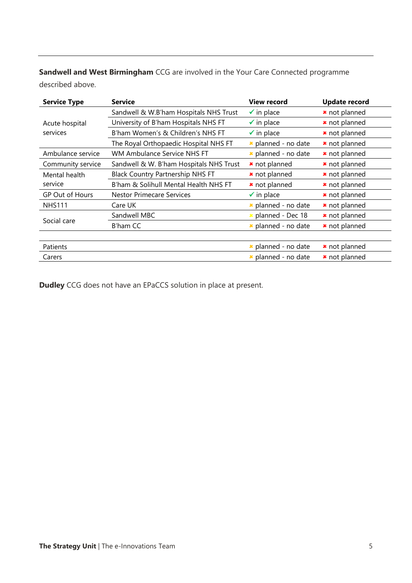**Sandwell and West Birmingham** CCG are involved in the Your Care Connected programme described above.

| <b>Service Type</b> | <b>Service</b>                          | <b>View record</b>         | <b>Update record</b> |
|---------------------|-----------------------------------------|----------------------------|----------------------|
|                     | Sandwell & W.B'ham Hospitals NHS Trust  | $\checkmark$ in place      | * not planned        |
| Acute hospital      | University of B'ham Hospitals NHS FT    | $\checkmark$ in place      | * not planned        |
| services            | B'ham Women's & Children's NHS FT       | $\checkmark$ in place      | * not planned        |
|                     | The Royal Orthopaedic Hospital NHS FT   | <b>*</b> planned - no date | * not planned        |
| Ambulance service   | WM Ambulance Service NHS FT             | * planned - no date        | * not planned        |
| Community service   | Sandwell & W. B'ham Hospitals NHS Trust | * not planned              | * not planned        |
| Mental health       | Black Country Partnership NHS FT        | * not planned              | * not planned        |
| service             | B'ham & Solihull Mental Health NHS FT   | * not planned              | * not planned        |
| GP Out of Hours     | <b>Nestor Primecare Services</b>        | $\checkmark$ in place      | * not planned        |
| <b>NHS111</b>       | Care UK                                 | * planned - no date        | * not planned        |
|                     | Sandwell MBC                            | <b>*</b> planned - Dec 18  | * not planned        |
| Social care         | B'ham CC                                | * planned - no date        | * not planned        |
|                     |                                         |                            |                      |
| Patients            |                                         | <b>*</b> planned - no date | * not planned        |
| Carers              |                                         | * planned - no date        | * not planned        |

**Dudley** CCG does not have an EPaCCS solution in place at present.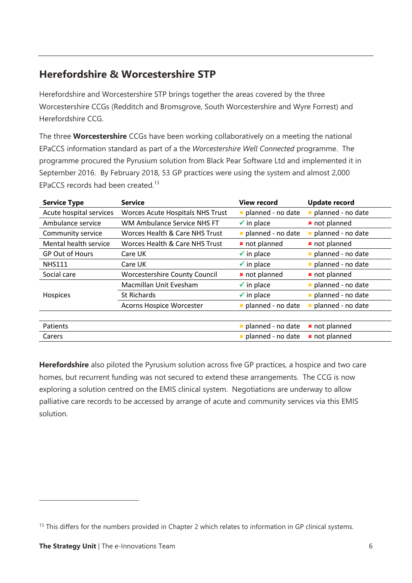## **Herefordshire & Worcestershire STP**

Herefordshire and Worcestershire STP brings together the areas covered by the three Worcestershire CCGs (Redditch and Bromsgrove, South Worcestershire and Wyre Forrest) and Herefordshire CCG.

The three **Worcestershire** CCGs have been working collaboratively on a meeting the national EPaCCS information standard as part of a the *Worcestershire Well Connected* programme. The programme procured the Pyrusium solution from Black Pear Software Ltd and implemented it in September 2016. By February 2018, 53 GP practices were using the system and almost 2,000 EPaCCS records had been created.<sup>13</sup>

| <b>Service Type</b>     | <b>Service</b>                            | <b>View record</b>        | <b>Update record</b> |
|-------------------------|-------------------------------------------|---------------------------|----------------------|
| Acute hospital services | <b>Worces Acute Hospitals NHS Trust</b>   | * planned - no date       | * planned - no date  |
| Ambulance service       | WM Ambulance Service NHS FT               | $\checkmark$ in place     | * not planned        |
| Community service       | <b>Worces Health &amp; Care NHS Trust</b> | * planned - no date       | * planned - no date  |
| Mental health service   | Worces Health & Care NHS Trust            | * not planned             | * not planned        |
| <b>GP Out of Hours</b>  | Care UK                                   | $\checkmark$ in place     | * planned - no date  |
| <b>NHS111</b>           | Care UK                                   | $\checkmark$ in place     | * planned - no date  |
| Social care             | <b>Worcestershire County Council</b>      | * not planned             | * not planned        |
|                         | Macmillan Unit Evesham                    | $\checkmark$ in place     | * planned - no date  |
| Hospices                | <b>St Richards</b>                        | $\checkmark$ in place     | * planned - no date  |
|                         | Acorns Hospice Worcester                  | * planned - no date       | planned - no date    |
|                         |                                           |                           |                      |
| Patients                |                                           | * planned - no date       | * not planned        |
| Carers                  |                                           | $\star$ planned - no date | * not planned        |

**Herefordshire** also piloted the Pyrusium solution across five GP practices, a hospice and two care homes, but recurrent funding was not secured to extend these arrangements. The CCG is now exploring a solution centred on the EMIS clinical system. Negotiations are underway to allow palliative care records to be accessed by arrange of acute and community services via this EMIS solution.

 $\overline{a}$ 

<sup>&</sup>lt;sup>13</sup> This differs for the numbers provided in Chapter 2 which relates to information in GP clinical systems.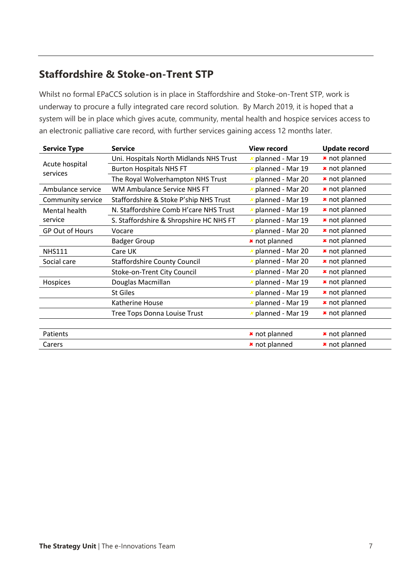## **Staffordshire & Stoke-on-Trent STP**

Whilst no formal EPaCCS solution is in place in Staffordshire and Stoke-on-Trent STP, work is underway to procure a fully integrated care record solution. By March 2019, it is hoped that a system will be in place which gives acute, community, mental health and hospice services access to an electronic palliative care record, with further services gaining access 12 months later.

| <b>Service Type</b>        | <b>Service</b>                          | <b>View record</b>        | <b>Update record</b> |
|----------------------------|-----------------------------------------|---------------------------|----------------------|
|                            | Uni. Hospitals North Midlands NHS Trust | × planned - Mar 19        | * not planned        |
| Acute hospital<br>services | <b>Burton Hospitals NHS FT</b>          | $x$ planned - Mar 19      | * not planned        |
|                            | The Royal Wolverhampton NHS Trust       | <b>*</b> planned - Mar 20 | <b>*</b> not planned |
| Ambulance service          | WM Ambulance Service NHS FT             | <b>x</b> planned - Mar 20 | * not planned        |
| Community service          | Staffordshire & Stoke P'ship NHS Trust  | planned - Mar 19          | * not planned        |
| Mental health              | N. Staffordshire Comb H'care NHS Trust  | planned - Mar 19          | * not planned        |
| service                    | S. Staffordshire & Shropshire HC NHS FT | planned - Mar 19          | * not planned        |
| <b>GP Out of Hours</b>     | Vocare                                  | <b>*</b> planned - Mar 20 | * not planned        |
|                            | <b>Badger Group</b>                     | * not planned             | * not planned        |
| <b>NHS111</b>              | Care UK                                 | <b>x</b> planned - Mar 20 | * not planned        |
| Social care                | <b>Staffordshire County Council</b>     | <b>x</b> planned - Mar 20 | <b>*</b> not planned |
|                            | Stoke-on-Trent City Council             | <b>x</b> planned - Mar 20 | * not planned        |
| Hospices                   | Douglas Macmillan                       | <b>x</b> planned - Mar 19 | * not planned        |
|                            | <b>St Giles</b>                         | <b>x</b> planned - Mar 19 | * not planned        |
|                            | Katherine House                         | × planned - Mar 19        | * not planned        |
|                            | Tree Tops Donna Louise Trust            | planned - Mar 19          | * not planned        |
|                            |                                         |                           |                      |
| Patients                   |                                         | * not planned             | * not planned        |
| Carers                     |                                         | * not planned             | * not planned        |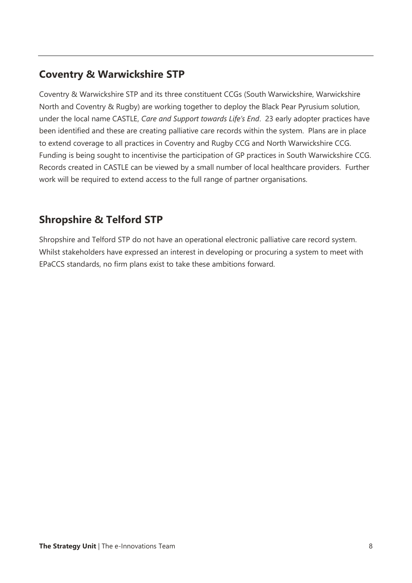## **Coventry & Warwickshire STP**

Coventry & Warwickshire STP and its three constituent CCGs (South Warwickshire, Warwickshire North and Coventry & Rugby) are working together to deploy the Black Pear Pyrusium solution, under the local name CASTLE, *Care and Support towards Life's End*. 23 early adopter practices have been identified and these are creating palliative care records within the system. Plans are in place to extend coverage to all practices in Coventry and Rugby CCG and North Warwickshire CCG. Funding is being sought to incentivise the participation of GP practices in South Warwickshire CCG. Records created in CASTLE can be viewed by a small number of local healthcare providers. Further work will be required to extend access to the full range of partner organisations.

## **Shropshire & Telford STP**

Shropshire and Telford STP do not have an operational electronic palliative care record system. Whilst stakeholders have expressed an interest in developing or procuring a system to meet with EPaCCS standards, no firm plans exist to take these ambitions forward.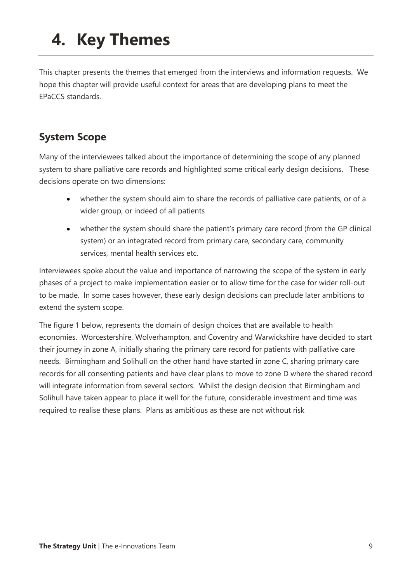# **4. Key Themes**

This chapter presents the themes that emerged from the interviews and information requests. We hope this chapter will provide useful context for areas that are developing plans to meet the EPaCCS standards.

## **System Scope**

Many of the interviewees talked about the importance of determining the scope of any planned system to share palliative care records and highlighted some critical early design decisions. These decisions operate on two dimensions:

- whether the system should aim to share the records of palliative care patients, or of a wider group, or indeed of all patients
- whether the system should share the patient's primary care record (from the GP clinical system) or an integrated record from primary care, secondary care, community services, mental health services etc.

Interviewees spoke about the value and importance of narrowing the scope of the system in early phases of a project to make implementation easier or to allow time for the case for wider roll-out to be made. In some cases however, these early design decisions can preclude later ambitions to extend the system scope.

The figure 1 below, represents the domain of design choices that are available to health economies. Worcestershire, Wolverhampton, and Coventry and Warwickshire have decided to start their journey in zone A, initially sharing the primary care record for patients with palliative care needs. Birmingham and Solihull on the other hand have started in zone C, sharing primary care records for all consenting patients and have clear plans to move to zone D where the shared record will integrate information from several sectors. Whilst the design decision that Birmingham and Solihull have taken appear to place it well for the future, considerable investment and time was required to realise these plans. Plans as ambitious as these are not without risk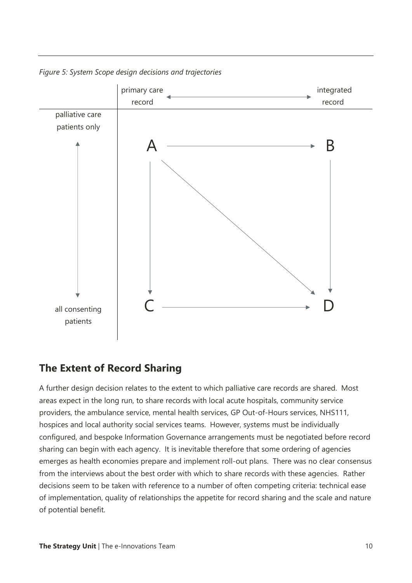*Figure 5: System Scope design decisions and trajectories*



### **The Extent of Record Sharing**

A further design decision relates to the extent to which palliative care records are shared. Most areas expect in the long run, to share records with local acute hospitals, community service providers, the ambulance service, mental health services, GP Out-of-Hours services, NHS111, hospices and local authority social services teams. However, systems must be individually configured, and bespoke Information Governance arrangements must be negotiated before record sharing can begin with each agency. It is inevitable therefore that some ordering of agencies emerges as health economies prepare and implement roll-out plans. There was no clear consensus from the interviews about the best order with which to share records with these agencies. Rather decisions seem to be taken with reference to a number of often competing criteria: technical ease of implementation, quality of relationships the appetite for record sharing and the scale and nature of potential benefit.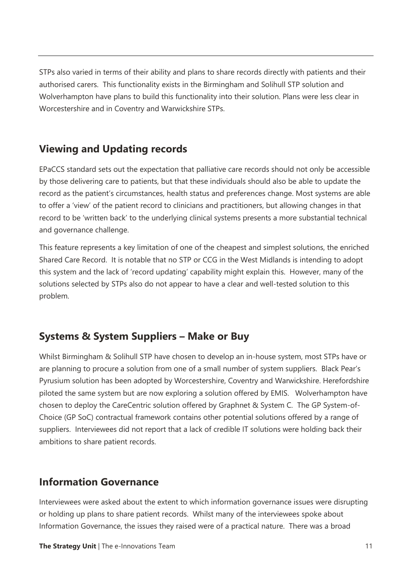STPs also varied in terms of their ability and plans to share records directly with patients and their authorised carers. This functionality exists in the Birmingham and Solihull STP solution and Wolverhampton have plans to build this functionality into their solution. Plans were less clear in Worcestershire and in Coventry and Warwickshire STPs.

### **Viewing and Updating records**

EPaCCS standard sets out the expectation that palliative care records should not only be accessible by those delivering care to patients, but that these individuals should also be able to update the record as the patient's circumstances, health status and preferences change. Most systems are able to offer a 'view' of the patient record to clinicians and practitioners, but allowing changes in that record to be 'written back' to the underlying clinical systems presents a more substantial technical and governance challenge.

This feature represents a key limitation of one of the cheapest and simplest solutions, the enriched Shared Care Record. It is notable that no STP or CCG in the West Midlands is intending to adopt this system and the lack of 'record updating' capability might explain this. However, many of the solutions selected by STPs also do not appear to have a clear and well-tested solution to this problem.

## **Systems & System Suppliers – Make or Buy**

Whilst Birmingham & Solihull STP have chosen to develop an in-house system, most STPs have or are planning to procure a solution from one of a small number of system suppliers. Black Pear's Pyrusium solution has been adopted by Worcestershire, Coventry and Warwickshire. Herefordshire piloted the same system but are now exploring a solution offered by EMIS. Wolverhampton have chosen to deploy the CareCentric solution offered by Graphnet & System C. The GP System-of-Choice (GP SoC) contractual framework contains other potential solutions offered by a range of suppliers. Interviewees did not report that a lack of credible IT solutions were holding back their ambitions to share patient records.

### **Information Governance**

Interviewees were asked about the extent to which information governance issues were disrupting or holding up plans to share patient records. Whilst many of the interviewees spoke about Information Governance, the issues they raised were of a practical nature. There was a broad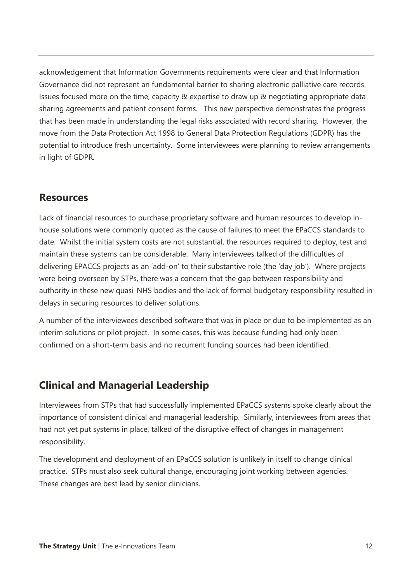acknowledgement that Information Governments requirements were clear and that Information Governance did not represent an fundamental barrier to sharing electronic palliative care records. Issues focused more on the time, capacity & expertise to draw up & negotiating appropriate data sharing agreements and patient consent forms. This new perspective demonstrates the progress that has been made in understanding the legal risks associated with record sharing. However, the move from the Data Protection Act 1998 to General Data Protection Regulations (GDPR) has the potential to introduce fresh uncertainty. Some interviewees were planning to review arrangements in light of GDPR.

### **Resources**

Lack of financial resources to purchase proprietary software and human resources to develop inhouse solutions were commonly quoted as the cause of failures to meet the EPaCCS standards to date. Whilst the initial system costs are not substantial, the resources required to deploy, test and maintain these systems can be considerable. Many interviewees talked of the difficulties of delivering EPACCS projects as an 'add-on' to their substantive role (the 'day job'). Where projects were being overseen by STPs, there was a concern that the gap between responsibility and authority in these new quasi-NHS bodies and the lack of formal budgetary responsibility resulted in delays in securing resources to deliver solutions.

A number of the interviewees described software that was in place or due to be implemented as an interim solutions or pilot project. In some cases, this was because funding had only been confirmed on a short-term basis and no recurrent funding sources had been identified.

### **Clinical and Managerial Leadership**

Interviewees from STPs that had successfully implemented EPaCCS systems spoke clearly about the importance of consistent clinical and managerial leadership. Similarly, interviewees from areas that had not yet put systems in place, talked of the disruptive effect of changes in management responsibility.

The development and deployment of an EPaCCS solution is unlikely in itself to change clinical practice. STPs must also seek cultural change, encouraging joint working between agencies. These changes are best lead by senior clinicians.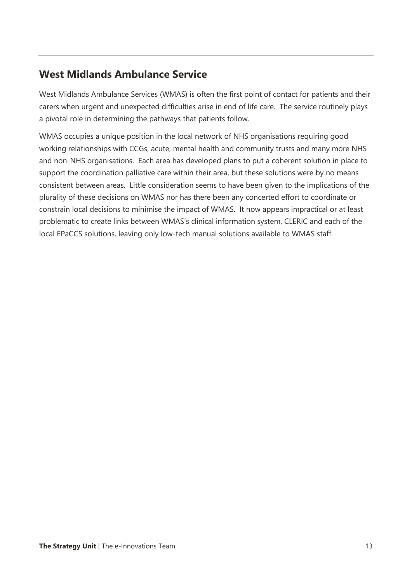### **West Midlands Ambulance Service**

West Midlands Ambulance Services (WMAS) is often the first point of contact for patients and their carers when urgent and unexpected difficulties arise in end of life care. The service routinely plays a pivotal role in determining the pathways that patients follow.

WMAS occupies a unique position in the local network of NHS organisations requiring good working relationships with CCGs, acute, mental health and community trusts and many more NHS and non-NHS organisations. Each area has developed plans to put a coherent solution in place to support the coordination palliative care within their area, but these solutions were by no means consistent between areas. Little consideration seems to have been given to the implications of the plurality of these decisions on WMAS nor has there been any concerted effort to coordinate or constrain local decisions to minimise the impact of WMAS. It now appears impractical or at least problematic to create links between WMAS's clinical information system, CLERIC and each of the local EPaCCS solutions, leaving only low-tech manual solutions available to WMAS staff.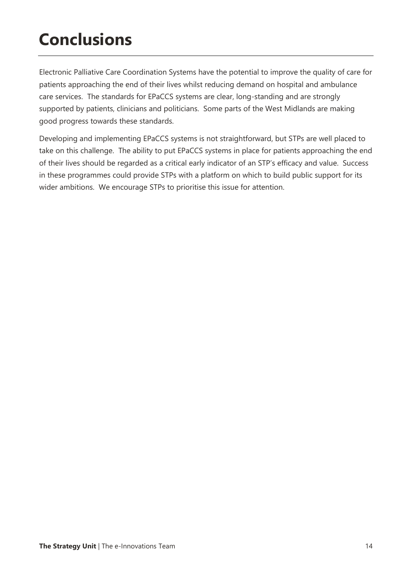## **Conclusions**

Electronic Palliative Care Coordination Systems have the potential to improve the quality of care for patients approaching the end of their lives whilst reducing demand on hospital and ambulance care services. The standards for EPaCCS systems are clear, long-standing and are strongly supported by patients, clinicians and politicians. Some parts of the West Midlands are making good progress towards these standards.

Developing and implementing EPaCCS systems is not straightforward, but STPs are well placed to take on this challenge. The ability to put EPaCCS systems in place for patients approaching the end of their lives should be regarded as a critical early indicator of an STP's efficacy and value. Success in these programmes could provide STPs with a platform on which to build public support for its wider ambitions. We encourage STPs to prioritise this issue for attention.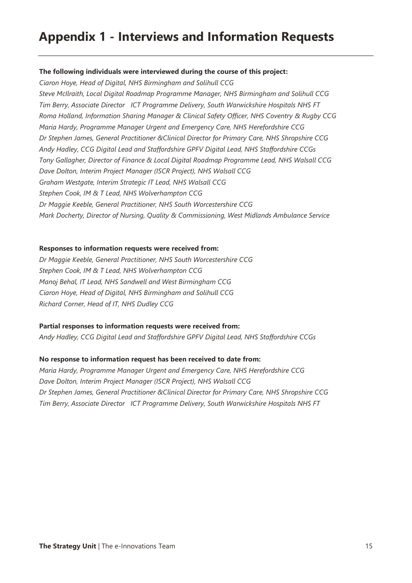## **Appendix 1 - Interviews and Information Requests**

#### **The following individuals were interviewed during the course of this project:**

*Ciaron Hoye, Head of Digital, NHS Birmingham and Solihull CCG Steve McIlraith, Local Digital Roadmap Programme Manager, NHS Birmingham and Solihull CCG Tim Berry, Associate Director ICT Programme Delivery, South Warwickshire Hospitals NHS FT Roma Holland, Information Sharing Manager & Clinical Safety Officer, NHS Coventry & Rugby CCG Maria Hardy, Programme Manager Urgent and Emergency Care, NHS Herefordshire CCG Dr Stephen James, General Practitioner &Clinical Director for Primary Care, NHS Shropshire CCG Andy Hadley, CCG Digital Lead and Staffordshire GPFV Digital Lead, NHS Staffordshire CCGs Tony Gallagher, Director of Finance & Local Digital Roadmap Programme Lead, NHS Walsall CCG Dave Dolton, Interim Project Manager (ISCR Project), NHS Walsall CCG Graham Westgate, Interim Strategic IT Lead, NHS Walsall CCG Stephen Cook, IM & T Lead, NHS Wolverhampton CCG Dr Maggie Keeble, General Practitioner, NHS South Worcestershire CCG Mark Docherty, Director of Nursing, Quality & Commissioning, West Midlands Ambulance Service*

#### **Responses to information requests were received from:**

*Dr Maggie Keeble, General Practitioner, NHS South Worcestershire CCG Stephen Cook, IM & T Lead, NHS Wolverhampton CCG Manoj Behal, IT Lead, NHS Sandwell and West Birmingham CCG Ciaron Hoye, Head of Digital, NHS Birmingham and Solihull CCG Richard Corner, Head of IT, NHS Dudley CCG* 

#### **Partial responses to information requests were received from:**

*Andy Hadley, CCG Digital Lead and Staffordshire GPFV Digital Lead, NHS Staffordshire CCGs* 

#### **No response to information request has been received to date from:**

*Maria Hardy, Programme Manager Urgent and Emergency Care, NHS Herefordshire CCG Dave Dolton, Interim Project Manager (ISCR Project), NHS Walsall CCG Dr Stephen James, General Practitioner &Clinical Director for Primary Care, NHS Shropshire CCG Tim Berry, Associate Director ICT Programme Delivery, South Warwickshire Hospitals NHS FT*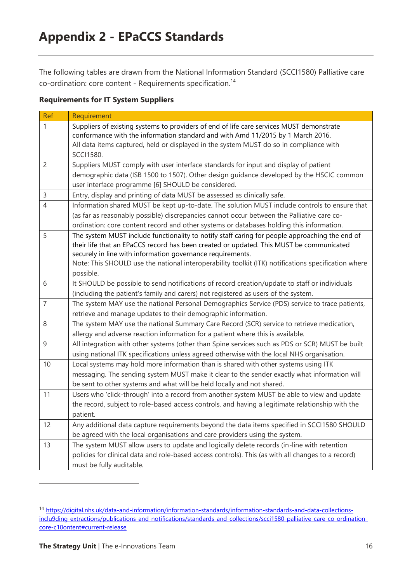The following tables are drawn from the National Information Standard (SCCI1580) Palliative care co-ordination: core content - Requirements specification.<sup>14</sup>

#### **Requirements for IT System Suppliers**

| Ref            | Requirement                                                                                                                                                                 |
|----------------|-----------------------------------------------------------------------------------------------------------------------------------------------------------------------------|
| 1              | Suppliers of existing systems to providers of end of life care services MUST demonstrate<br>conformance with the information standard and with Amd 11/2015 by 1 March 2016. |
|                | All data items captured, held or displayed in the system MUST do so in compliance with                                                                                      |
|                | <b>SCCI1580.</b>                                                                                                                                                            |
| $\overline{2}$ | Suppliers MUST comply with user interface standards for input and display of patient                                                                                        |
|                | demographic data (ISB 1500 to 1507). Other design guidance developed by the HSCIC common                                                                                    |
|                | user interface programme [6] SHOULD be considered.                                                                                                                          |
| $\mathsf 3$    | Entry, display and printing of data MUST be assessed as clinically safe.                                                                                                    |
| $\overline{4}$ | Information shared MUST be kept up-to-date. The solution MUST include controls to ensure that                                                                               |
|                | (as far as reasonably possible) discrepancies cannot occur between the Palliative care co-                                                                                  |
|                | ordination: core content record and other systems or databases holding this information.                                                                                    |
| 5              | The system MUST include functionality to notify staff caring for people approaching the end of                                                                              |
|                | their life that an EPaCCS record has been created or updated. This MUST be communicated                                                                                     |
|                | securely in line with information governance requirements.                                                                                                                  |
|                | Note: This SHOULD use the national interoperability toolkit (ITK) notifications specification where<br>possible.                                                            |
| 6              | It SHOULD be possible to send notifications of record creation/update to staff or individuals                                                                               |
|                | (including the patient's family and carers) not registered as users of the system.                                                                                          |
| $\overline{7}$ | The system MAY use the national Personal Demographics Service (PDS) service to trace patients,                                                                              |
|                | retrieve and manage updates to their demographic information.                                                                                                               |
| 8              | The system MAY use the national Summary Care Record (SCR) service to retrieve medication,                                                                                   |
|                | allergy and adverse reaction information for a patient where this is available.                                                                                             |
| 9              | All integration with other systems (other than Spine services such as PDS or SCR) MUST be built                                                                             |
|                | using national ITK specifications unless agreed otherwise with the local NHS organisation.                                                                                  |
| 10             | Local systems may hold more information than is shared with other systems using ITK                                                                                         |
|                | messaging. The sending system MUST make it clear to the sender exactly what information will                                                                                |
|                | be sent to other systems and what will be held locally and not shared.                                                                                                      |
| 11             | Users who 'click-through' into a record from another system MUST be able to view and update                                                                                 |
|                | the record, subject to role-based access controls, and having a legitimate relationship with the                                                                            |
|                | patient.                                                                                                                                                                    |
| 12             | Any additional data capture requirements beyond the data items specified in SCCI1580 SHOULD                                                                                 |
|                | be agreed with the local organisations and care providers using the system.                                                                                                 |
| 13             | The system MUST allow users to update and logically delete records (in-line with retention                                                                                  |
|                | policies for clinical data and role-based access controls). This (as with all changes to a record)                                                                          |
|                | must be fully auditable.                                                                                                                                                    |

 $\overline{a}$ 

<sup>14</sup> [https://digital.nhs.uk/data-and-information/information-standards/information-standards-and-data-collections](https://digital.nhs.uk/data-and-information/information-standards/information-standards-and-data-collections-inclu9ding-extractions/publications-and-notifications/standards-and-collections/scci1580-palliative-care-co-ordination-core-c10ontent#current-release)[inclu9ding-extractions/publications-and-notifications/standards-and-collections/scci1580-palliative-care-co-ordination](https://digital.nhs.uk/data-and-information/information-standards/information-standards-and-data-collections-inclu9ding-extractions/publications-and-notifications/standards-and-collections/scci1580-palliative-care-co-ordination-core-c10ontent#current-release)[core-c10ontent#current-release](https://digital.nhs.uk/data-and-information/information-standards/information-standards-and-data-collections-inclu9ding-extractions/publications-and-notifications/standards-and-collections/scci1580-palliative-care-co-ordination-core-c10ontent#current-release)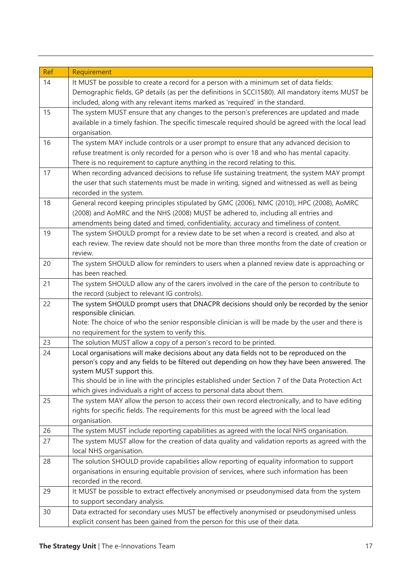| <b>Ref</b> | Requirement                                                                                                                 |
|------------|-----------------------------------------------------------------------------------------------------------------------------|
| 14         | It MUST be possible to create a record for a person with a minimum set of data fields:                                      |
|            | Demographic fields, GP details (as per the definitions in SCCI1580). All mandatory items MUST be                            |
|            | included, along with any relevant items marked as 'required' in the standard.                                               |
| 15         | The system MUST ensure that any changes to the person's preferences are updated and made                                    |
|            | available in a timely fashion. The specific timescale required should be agreed with the local lead                         |
|            | organisation.                                                                                                               |
| 16         | The system MAY include controls or a user prompt to ensure that any advanced decision to                                    |
|            | refuse treatment is only recorded for a person who is over 18 and who has mental capacity.                                  |
|            | There is no requirement to capture anything in the record relating to this.                                                 |
| 17         | When recording advanced decisions to refuse life sustaining treatment, the system MAY prompt                                |
|            | the user that such statements must be made in writing, signed and witnessed as well as being                                |
|            | recorded in the system.                                                                                                     |
| 18         | General record keeping principles stipulated by GMC (2006), NMC (2010), HPC (2008), AoMRC                                   |
|            | (2008) and AoMRC and the NHS (2008) MUST be adhered to, including all entries and                                           |
|            | amendments being dated and timed, confidentiality, accuracy and timeliness of content.                                      |
| 19         | The system SHOULD prompt for a review date to be set when a record is created, and also at                                  |
|            | each review. The review date should not be more than three months from the date of creation or                              |
|            | review.                                                                                                                     |
| 20         | The system SHOULD allow for reminders to users when a planned review date is approaching or                                 |
|            | has been reached.                                                                                                           |
| 21         | The system SHOULD allow any of the carers involved in the care of the person to contribute to                               |
|            | the record (subject to relevant IG controls).                                                                               |
| 22         | The system SHOULD prompt users that DNACPR decisions should only be recorded by the senior                                  |
|            | responsible clinician.<br>Note: The choice of who the senior responsible clinician is will be made by the user and there is |
|            | no requirement for the system to verify this.                                                                               |
| 23         | The solution MUST allow a copy of a person's record to be printed.                                                          |
| 24         | Local organisations will make decisions about any data fields not to be reproduced on the                                   |
|            | person's copy and any fields to be filtered out depending on how they have been answered. The                               |
|            | system MUST support this.                                                                                                   |
|            | This should be in line with the principles established under Section 7 of the Data Protection Act                           |
|            | which gives individuals a right of access to personal data about them.                                                      |
| 25         | The system MAY allow the person to access their own record electronically, and to have editing                              |
|            | rights for specific fields. The requirements for this must be agreed with the local lead                                    |
|            | organisation.                                                                                                               |
| 26         | The system MUST include reporting capabilities as agreed with the local NHS organisation.                                   |
| 27         | The system MUST allow for the creation of data quality and validation reports as agreed with the                            |
|            | local NHS organisation.                                                                                                     |
| 28         | The solution SHOULD provide capabilities allow reporting of equality information to support                                 |
|            | organisations in ensuring equitable provision of services, where such information has been                                  |
|            | recorded in the record.                                                                                                     |
| 29         | It MUST be possible to extract effectively anonymised or pseudonymised data from the system                                 |
|            | to support secondary analysis.                                                                                              |
| 30         | Data extracted for secondary uses MUST be effectively anonymised or pseudonymised unless                                    |
|            | explicit consent has been gained from the person for this use of their data.                                                |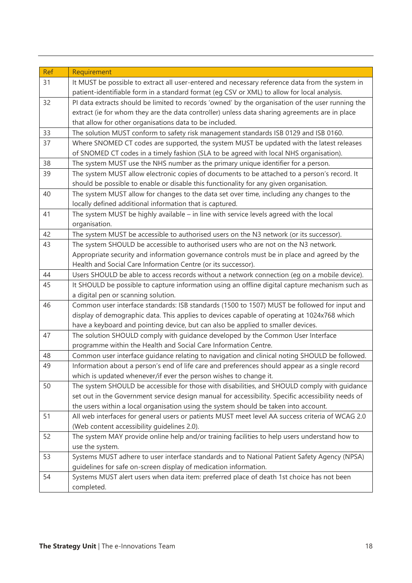| Ref | Requirement                                                                                        |
|-----|----------------------------------------------------------------------------------------------------|
| 31  | It MUST be possible to extract all user-entered and necessary reference data from the system in    |
|     | patient-identifiable form in a standard format (eq CSV or XML) to allow for local analysis.        |
| 32  | PI data extracts should be limited to records 'owned' by the organisation of the user running the  |
|     | extract (ie for whom they are the data controller) unless data sharing agreements are in place     |
|     | that allow for other organisations data to be included.                                            |
| 33  | The solution MUST conform to safety risk management standards ISB 0129 and ISB 0160.               |
| 37  | Where SNOMED CT codes are supported, the system MUST be updated with the latest releases           |
|     | of SNOMED CT codes in a timely fashion (SLA to be agreed with local NHS organisation).             |
| 38  | The system MUST use the NHS number as the primary unique identifier for a person.                  |
| 39  | The system MUST allow electronic copies of documents to be attached to a person's record. It       |
|     | should be possible to enable or disable this functionality for any given organisation.             |
| 40  | The system MUST allow for changes to the data set over time, including any changes to the          |
|     | locally defined additional information that is captured.                                           |
| 41  | The system MUST be highly available - in line with service levels agreed with the local            |
|     | organisation.                                                                                      |
| 42  | The system MUST be accessible to authorised users on the N3 network (or its successor).            |
| 43  | The system SHOULD be accessible to authorised users who are not on the N3 network.                 |
|     | Appropriate security and information governance controls must be in place and agreed by the        |
|     | Health and Social Care Information Centre (or its successor).                                      |
| 44  | Users SHOULD be able to access records without a network connection (eg on a mobile device).       |
| 45  | It SHOULD be possible to capture information using an offline digital capture mechanism such as    |
|     | a digital pen or scanning solution.                                                                |
| 46  | Common user interface standards: ISB standards (1500 to 1507) MUST be followed for input and       |
|     | display of demographic data. This applies to devices capable of operating at 1024x768 which        |
|     | have a keyboard and pointing device, but can also be applied to smaller devices.                   |
| 47  | The solution SHOULD comply with guidance developed by the Common User Interface                    |
|     | programme within the Health and Social Care Information Centre.                                    |
| 48  | Common user interface guidance relating to navigation and clinical noting SHOULD be followed.      |
| 49  | Information about a person's end of life care and preferences should appear as a single record     |
|     | which is updated whenever/if ever the person wishes to change it.                                  |
| 50  | The system SHOULD be accessible for those with disabilities, and SHOULD comply with quidance       |
|     | set out in the Government service design manual for accessibility. Specific accessibility needs of |
|     | the users within a local organisation using the system should be taken into account.               |
| 51  | All web interfaces for general users or patients MUST meet level AA success criteria of WCAG 2.0   |
|     | (Web content accessibility guidelines 2.0).                                                        |
| 52  | The system MAY provide online help and/or training facilities to help users understand how to      |
|     | use the system.                                                                                    |
| 53  | Systems MUST adhere to user interface standards and to National Patient Safety Agency (NPSA)       |
|     | guidelines for safe on-screen display of medication information.                                   |
| 54  | Systems MUST alert users when data item: preferred place of death 1st choice has not been          |
|     | completed.                                                                                         |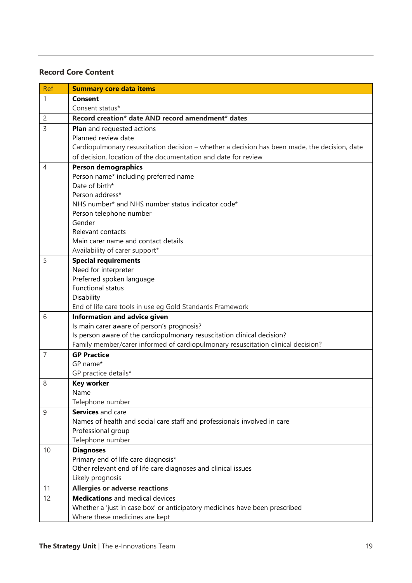#### **Record Core Content**

| <b>Ref</b>     | <b>Summary core data items</b>                                                                |
|----------------|-----------------------------------------------------------------------------------------------|
| 1              | <b>Consent</b>                                                                                |
|                | Consent status*                                                                               |
| $\overline{c}$ | Record creation* date AND record amendment* dates                                             |
| 3              | <b>Plan</b> and requested actions                                                             |
|                | Planned review date                                                                           |
|                | Cardiopulmonary resuscitation decision - whether a decision has been made, the decision, date |
|                | of decision, location of the documentation and date for review                                |
| 4              | <b>Person demographics</b>                                                                    |
|                | Person name* including preferred name                                                         |
|                | Date of birth*                                                                                |
|                | Person address*                                                                               |
|                | NHS number* and NHS number status indicator code*                                             |
|                | Person telephone number                                                                       |
|                | Gender                                                                                        |
|                | Relevant contacts<br>Main carer name and contact details                                      |
|                | Availability of carer support*                                                                |
| 5              | <b>Special requirements</b>                                                                   |
|                | Need for interpreter                                                                          |
|                | Preferred spoken language                                                                     |
|                | <b>Functional status</b>                                                                      |
|                | Disability                                                                                    |
|                | End of life care tools in use eg Gold Standards Framework                                     |
| 6              | Information and advice given                                                                  |
|                | Is main carer aware of person's prognosis?                                                    |
|                | Is person aware of the cardiopulmonary resuscitation clinical decision?                       |
|                | Family member/carer informed of cardiopulmonary resuscitation clinical decision?              |
| $\overline{7}$ | <b>GP Practice</b>                                                                            |
|                | GP name*                                                                                      |
|                | GP practice details*                                                                          |
| 8              | <b>Key worker</b>                                                                             |
|                | Name                                                                                          |
|                | Telephone number                                                                              |
| 9              | Services and care                                                                             |
|                | Names of health and social care staff and professionals involved in care                      |
|                | Professional group                                                                            |
|                | Telephone number                                                                              |
| 10             | <b>Diagnoses</b>                                                                              |
|                | Primary end of life care diagnosis*                                                           |
|                | Other relevant end of life care diagnoses and clinical issues                                 |
|                | Likely prognosis                                                                              |
| 11             | <b>Allergies or adverse reactions</b>                                                         |
| 12             | <b>Medications</b> and medical devices                                                        |
|                | Whether a 'just in case box' or anticipatory medicines have been prescribed                   |
|                | Where these medicines are kept                                                                |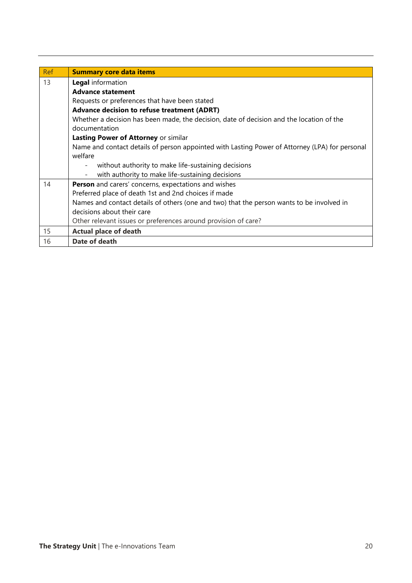| Ref | <b>Summary core data items</b>                                                                 |
|-----|------------------------------------------------------------------------------------------------|
| 13  | Legal information                                                                              |
|     | <b>Advance statement</b>                                                                       |
|     | Requests or preferences that have been stated                                                  |
|     | <b>Advance decision to refuse treatment (ADRT)</b>                                             |
|     | Whether a decision has been made, the decision, date of decision and the location of the       |
|     | documentation                                                                                  |
|     | Lasting Power of Attorney or similar                                                           |
|     | Name and contact details of person appointed with Lasting Power of Attorney (LPA) for personal |
|     | welfare                                                                                        |
|     | without authority to make life-sustaining decisions                                            |
|     | with authority to make life-sustaining decisions                                               |
| 14  | Person and carers' concerns, expectations and wishes                                           |
|     | Preferred place of death 1st and 2nd choices if made                                           |
|     | Names and contact details of others (one and two) that the person wants to be involved in      |
|     | decisions about their care                                                                     |
|     | Other relevant issues or preferences around provision of care?                                 |
| 15  | <b>Actual place of death</b>                                                                   |
| 16  | Date of death                                                                                  |